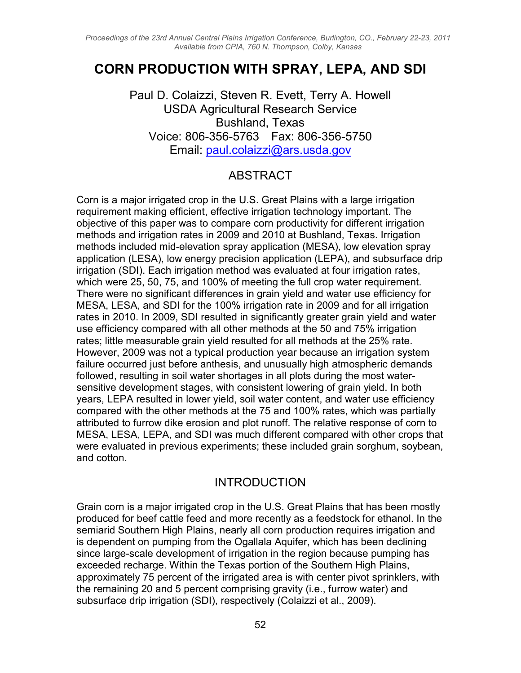*Proceedings of the 23rd Annual Central Plains Irrigation Conference, Burlington, CO., February 22-23, 2011 Available from CPIA, 760 N. Thompson, Colby, Kansas*

# **CORN PRODUCTION WITH SPRAY, LEPA, AND SDI**

Paul D. Colaizzi, Steven R. Evett, Terry A. Howell USDA Agricultural Research Service Bushland, Texas Voice: 806-356-5763 Fax: 806-356-5750 Email: paul.colaizzi@ars.usda.gov

### ABSTRACT

Corn is a major irrigated crop in the U.S. Great Plains with a large irrigation requirement making efficient, effective irrigation technology important. The objective of this paper was to compare corn productivity for different irrigation methods and irrigation rates in 2009 and 2010 at Bushland, Texas. Irrigation methods included mid-elevation spray application (MESA), low elevation spray application (LESA), low energy precision application (LEPA), and subsurface drip irrigation (SDI). Each irrigation method was evaluated at four irrigation rates, which were 25, 50, 75, and 100% of meeting the full crop water requirement. There were no significant differences in grain yield and water use efficiency for MESA, LESA, and SDI for the 100% irrigation rate in 2009 and for all irrigation rates in 2010. In 2009, SDI resulted in significantly greater grain yield and water use efficiency compared with all other methods at the 50 and 75% irrigation rates; little measurable grain yield resulted for all methods at the 25% rate. However, 2009 was not a typical production year because an irrigation system failure occurred just before anthesis, and unusually high atmospheric demands followed, resulting in soil water shortages in all plots during the most watersensitive development stages, with consistent lowering of grain yield. In both years, LEPA resulted in lower yield, soil water content, and water use efficiency compared with the other methods at the 75 and 100% rates, which was partially attributed to furrow dike erosion and plot runoff. The relative response of corn to MESA, LESA, LEPA, and SDI was much different compared with other crops that were evaluated in previous experiments; these included grain sorghum, soybean, and cotton.

### INTRODUCTION

Grain corn is a major irrigated crop in the U.S. Great Plains that has been mostly produced for beef cattle feed and more recently as a feedstock for ethanol. In the semiarid Southern High Plains, nearly all corn production requires irrigation and is dependent on pumping from the Ogallala Aquifer, which has been declining since large-scale development of irrigation in the region because pumping has exceeded recharge. Within the Texas portion of the Southern High Plains, approximately 75 percent of the irrigated area is with center pivot sprinklers, with the remaining 20 and 5 percent comprising gravity (i.e., furrow water) and subsurface drip irrigation (SDI), respectively (Colaizzi et al., 2009).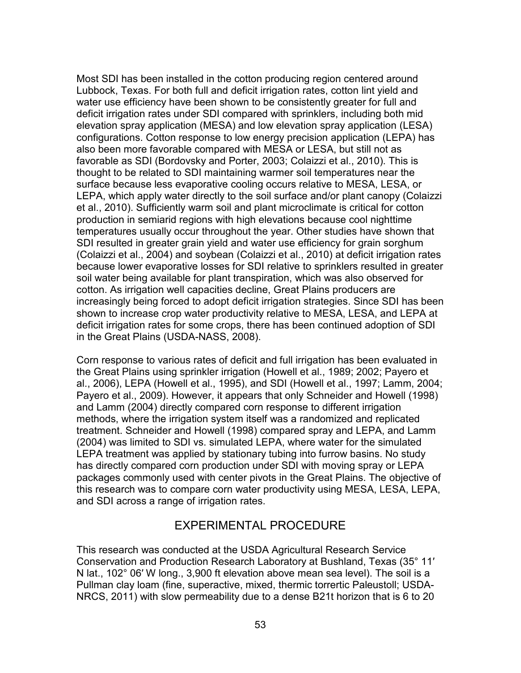Most SDI has been installed in the cotton producing region centered around Lubbock, Texas. For both full and deficit irrigation rates, cotton lint yield and water use efficiency have been shown to be consistently greater for full and deficit irrigation rates under SDI compared with sprinklers, including both mid elevation spray application (MESA) and low elevation spray application (LESA) configurations. Cotton response to low energy precision application (LEPA) has also been more favorable compared with MESA or LESA, but still not as favorable as SDI (Bordovsky and Porter, 2003; Colaizzi et al., 2010). This is thought to be related to SDI maintaining warmer soil temperatures near the surface because less evaporative cooling occurs relative to MESA, LESA, or LEPA, which apply water directly to the soil surface and/or plant canopy (Colaizzi et al., 2010). Sufficiently warm soil and plant microclimate is critical for cotton production in semiarid regions with high elevations because cool nighttime temperatures usually occur throughout the year. Other studies have shown that SDI resulted in greater grain yield and water use efficiency for grain sorghum (Colaizzi et al., 2004) and soybean (Colaizzi et al., 2010) at deficit irrigation rates because lower evaporative losses for SDI relative to sprinklers resulted in greater soil water being available for plant transpiration, which was also observed for cotton. As irrigation well capacities decline, Great Plains producers are increasingly being forced to adopt deficit irrigation strategies. Since SDI has been shown to increase crop water productivity relative to MESA, LESA, and LEPA at deficit irrigation rates for some crops, there has been continued adoption of SDI in the Great Plains (USDA-NASS, 2008).

Corn response to various rates of deficit and full irrigation has been evaluated in the Great Plains using sprinkler irrigation (Howell et al., 1989; 2002; Payero et al., 2006), LEPA (Howell et al., 1995), and SDI (Howell et al., 1997; Lamm, 2004; Payero et al., 2009). However, it appears that only Schneider and Howell (1998) and Lamm (2004) directly compared corn response to different irrigation methods, where the irrigation system itself was a randomized and replicated treatment. Schneider and Howell (1998) compared spray and LEPA, and Lamm (2004) was limited to SDI vs. simulated LEPA, where water for the simulated LEPA treatment was applied by stationary tubing into furrow basins. No study has directly compared corn production under SDI with moving spray or LEPA packages commonly used with center pivots in the Great Plains. The objective of this research was to compare corn water productivity using MESA, LESA, LEPA, and SDI across a range of irrigation rates.

## EXPERIMENTAL PROCEDURE

This research was conducted at the USDA Agricultural Research Service Conservation and Production Research Laboratory at Bushland, Texas (35° 11′ N lat., 102° 06′ W long., 3,900 ft elevation above mean sea level). The soil is a Pullman clay loam (fine, superactive, mixed, thermic torrertic Paleustoll; USDA-NRCS, 2011) with slow permeability due to a dense B21t horizon that is 6 to 20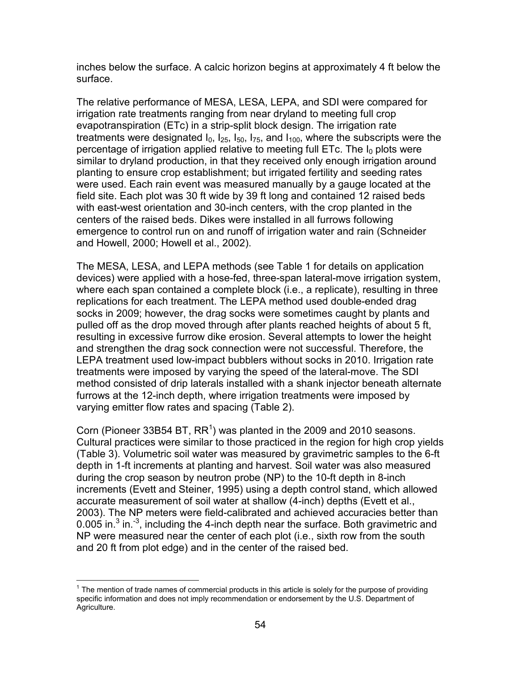inches below the surface. A calcic horizon begins at approximately 4 ft below the surface.

The relative performance of MESA, LESA, LEPA, and SDI were compared for irrigation rate treatments ranging from near dryland to meeting full crop evapotranspiration (ETc) in a strip-split block design. The irrigation rate treatments were designated  $I_0$ ,  $I_{25}$ ,  $I_{50}$ ,  $I_{75}$ , and  $I_{100}$ , where the subscripts were the percentage of irrigation applied relative to meeting full ETc. The  $I_0$  plots were similar to dryland production, in that they received only enough irrigation around planting to ensure crop establishment; but irrigated fertility and seeding rates were used. Each rain event was measured manually by a gauge located at the field site. Each plot was 30 ft wide by 39 ft long and contained 12 raised beds with east-west orientation and 30-inch centers, with the crop planted in the centers of the raised beds. Dikes were installed in all furrows following emergence to control run on and runoff of irrigation water and rain (Schneider and Howell, 2000; Howell et al., 2002).

The MESA, LESA, and LEPA methods (see Table 1 for details on application devices) were applied with a hose-fed, three-span lateral-move irrigation system, where each span contained a complete block (i.e., a replicate), resulting in three replications for each treatment. The LEPA method used double-ended drag socks in 2009; however, the drag socks were sometimes caught by plants and pulled off as the drop moved through after plants reached heights of about 5 ft, resulting in excessive furrow dike erosion. Several attempts to lower the height and strengthen the drag sock connection were not successful. Therefore, the LEPA treatment used low-impact bubblers without socks in 2010. Irrigation rate treatments were imposed by varying the speed of the lateral-move. The SDI method consisted of drip laterals installed with a shank injector beneath alternate furrows at the 12-inch depth, where irrigation treatments were imposed by varying emitter flow rates and spacing (Table 2).

Corn (Pioneer 33B54 BT,  $RR<sup>1</sup>$ ) was planted in the 2009 and 2010 seasons. Cultural practices were similar to those practiced in the region for high crop yields (Table 3). Volumetric soil water was measured by gravimetric samples to the 6-ft depth in 1-ft increments at planting and harvest. Soil water was also measured during the crop season by neutron probe (NP) to the 10-ft depth in 8-inch increments (Evett and Steiner, 1995) using a depth control stand, which allowed accurate measurement of soil water at shallow (4-inch) depths (Evett et al., 2003). The NP meters were field-calibrated and achieved accuracies better than 0.005 in. $^3$  in. $^{-3}$ , including the 4-inch depth near the surface. Both gravimetric and NP were measured near the center of each plot (i.e., sixth row from the south and 20 ft from plot edge) and in the center of the raised bed.

 $\overline{a}$ 

 $1$  The mention of trade names of commercial products in this article is solely for the purpose of providing specific information and does not imply recommendation or endorsement by the U.S. Department of Agriculture.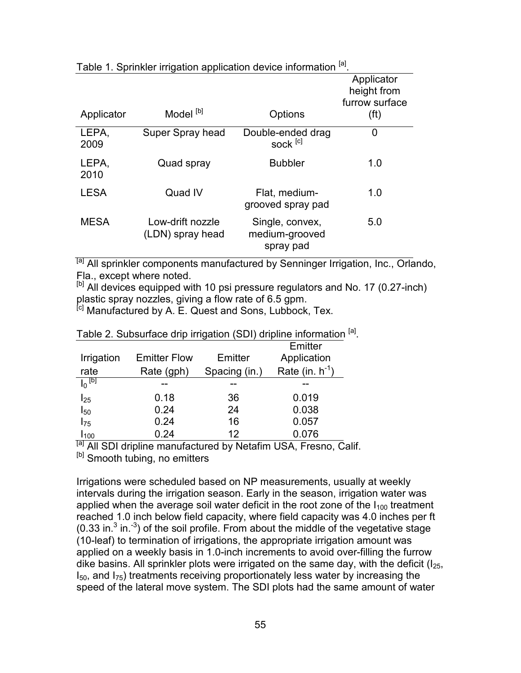|               |                                      |                                                | Applicator<br>height from<br>furrow surface |
|---------------|--------------------------------------|------------------------------------------------|---------------------------------------------|
| Applicator    | Model <sup>[b]</sup>                 | Options                                        | (f <sup>t</sup> )                           |
| LEPA,<br>2009 | Super Spray head                     | Double-ended drag<br>sock <sup>[c]</sup>       | 0                                           |
| LEPA,<br>2010 | Quad spray                           | <b>Bubbler</b>                                 | 1.0                                         |
| <b>LESA</b>   | Quad IV                              | Flat, medium-<br>grooved spray pad             | 1.0                                         |
| <b>MESA</b>   | Low-drift nozzle<br>(LDN) spray head | Single, convex,<br>medium-grooved<br>spray pad | 5.0                                         |

Table 1. Sprinkler irrigation application device information <sup>[a]</sup>.

<sup>[a]</sup> All sprinkler components manufactured by Senninger Irrigation, Inc., Orlando, Fla., except where noted.

 $[<sup>b</sup>]$  All devices equipped with 10 psi pressure regulators and No. 17 (0.27-inch) plastic spray nozzles, giving a flow rate of 6.5 gpm.

<sup>[c]</sup> Manufactured by A. E. Quest and Sons, Lubbock, Tex.

|                  |                     |               | Emitter              |
|------------------|---------------------|---------------|----------------------|
| Irrigation       | <b>Emitter Flow</b> | Emitter       | Application          |
| rate             | Rate (gph)          | Spacing (in.) | Rate (in. $h^{-1}$ ) |
| $I_0$ [b]        |                     |               |                      |
| $I_{25}$         | 0.18                | 36            | 0.019                |
| $I_{50}$         | 0.24                | 24            | 0.038                |
| $I_{75}$         | 0.24                | 16            | 0.057                |
| l <sub>100</sub> | 0.24                | 12            | 0.076                |

Table 2. Subsurface drip irrigation (SDI) dripline information <sup>[a]</sup>.

<sup>[a]</sup> All SDI dripline manufactured by Netafim USA, Fresno, Calif. <sup>[b]</sup> Smooth tubing, no emitters

Irrigations were scheduled based on NP measurements, usually at weekly intervals during the irrigation season. Early in the season, irrigation water was applied when the average soil water deficit in the root zone of the  $I_{100}$  treatment reached 1.0 inch below field capacity, where field capacity was 4.0 inches per ft (0.33 in. $3$  in. $3$ ) of the soil profile. From about the middle of the vegetative stage (10-leaf) to termination of irrigations, the appropriate irrigation amount was applied on a weekly basis in 1.0-inch increments to avoid over-filling the furrow dike basins. All sprinkler plots were irrigated on the same day, with the deficit  $(I_{25}, I_{25})$  $I_{50}$ , and  $I_{75}$ ) treatments receiving proportionately less water by increasing the speed of the lateral move system. The SDI plots had the same amount of water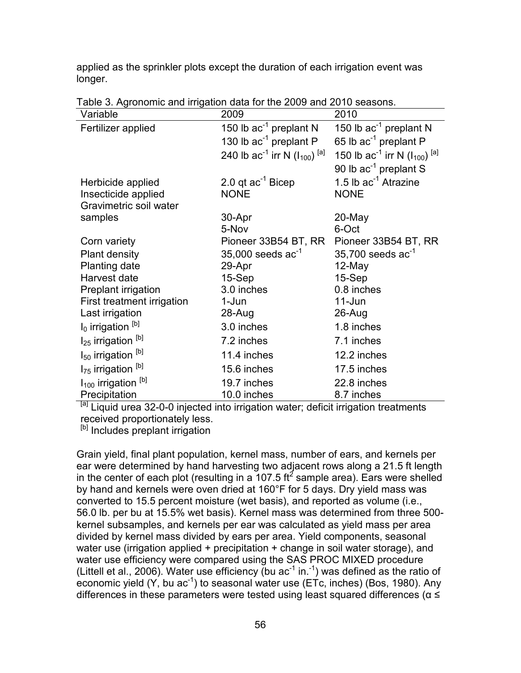applied as the sprinkler plots except the duration of each irrigation event was longer.

| Variable                                  | 2009                                                | 2010                                                |
|-------------------------------------------|-----------------------------------------------------|-----------------------------------------------------|
| Fertilizer applied                        | 150 lb $ac^{-1}$ preplant N                         | 150 lb ac <sup>-1</sup> preplant N                  |
|                                           | 130 lb ac <sup>-1</sup> preplant P                  | 65 lb ac <sup>-1</sup> preplant P                   |
|                                           | 240 lb $ac^{-1}$ irr N ( $I_{100}$ ) <sup>[a]</sup> | 150 lb $ac^{-1}$ irr N ( $I_{100}$ ) <sup>[a]</sup> |
|                                           |                                                     | 90 lb $ac^{-1}$ preplant S                          |
| Herbicide applied                         | 2.0 qt $ac^{-1}$ Bicep                              | 1.5 lb $ac^{-1}$ Atrazine                           |
| Insecticide applied                       | <b>NONE</b>                                         | <b>NONE</b>                                         |
| Gravimetric soil water                    |                                                     |                                                     |
| samples                                   | 30-Apr                                              | 20-May                                              |
|                                           | 5-Nov                                               | 6-Oct                                               |
| Corn variety                              | Pioneer 33B54 BT, RR                                | Pioneer 33B54 BT, RR                                |
| <b>Plant density</b>                      | 35,000 seeds $ac^{-1}$                              | $35,700$ seeds ac <sup>-1</sup>                     |
| <b>Planting date</b>                      | 29-Apr                                              | 12-May                                              |
| Harvest date                              | $15-Sep$                                            | $15-Sep$                                            |
| Preplant irrigation                       | 3.0 inches                                          | 0.8 inches                                          |
| First treatment irrigation                | 1-Jun                                               | 11-Jun                                              |
| Last irrigation                           | 28-Aug                                              | 26-Aug                                              |
| $I_0$ irrigation $[b]$                    | 3.0 inches                                          | 1.8 inches                                          |
| I <sub>25</sub> irrigation <sup>[b]</sup> | 7.2 inches                                          | 7.1 inches                                          |
| $I_{50}$ irrigation $[b]$                 | 11.4 inches                                         | 12.2 inches                                         |
| I <sub>75</sub> irrigation <sup>[b]</sup> | 15.6 inches                                         | 17.5 inches                                         |
| $I_{100}$ irrigation $[b]$                | 19.7 inches                                         | 22.8 inches                                         |
| Precipitation                             | 10.0 inches                                         | 8.7 inches                                          |

Table 3. Agronomic and irrigation data for the 2009 and 2010 seasons.

<sup>[a]</sup> Liquid urea 32-0-0 injected into irrigation water; deficit irrigation treatments received proportionately less.

<sup>[b]</sup> Includes preplant irrigation

Grain yield, final plant population, kernel mass, number of ears, and kernels per ear were determined by hand harvesting two adjacent rows along a 21.5 ft length in the center of each plot (resulting in a 107.5 ft<sup>2</sup> sample area). Ears were shelled by hand and kernels were oven dried at 160°F for 5 days. Dry yield mass was converted to 15.5 percent moisture (wet basis), and reported as volume (i.e., 56.0 lb. per bu at 15.5% wet basis). Kernel mass was determined from three 500 kernel subsamples, and kernels per ear was calculated as yield mass per area divided by kernel mass divided by ears per area. Yield components, seasonal water use (irrigation applied + precipitation + change in soil water storage), and water use efficiency were compared using the SAS PROC MIXED procedure (Littell et al., 2006). Water use efficiency (bu  $ac^{-1}$  in.<sup>-1</sup>) was defined as the ratio of economic yield  $(Y,$  bu ac<sup>-1</sup>) to seasonal water use (ETc, inches) (Bos, 1980). Any differences in these parameters were tested using least squared differences ( $\alpha \leq$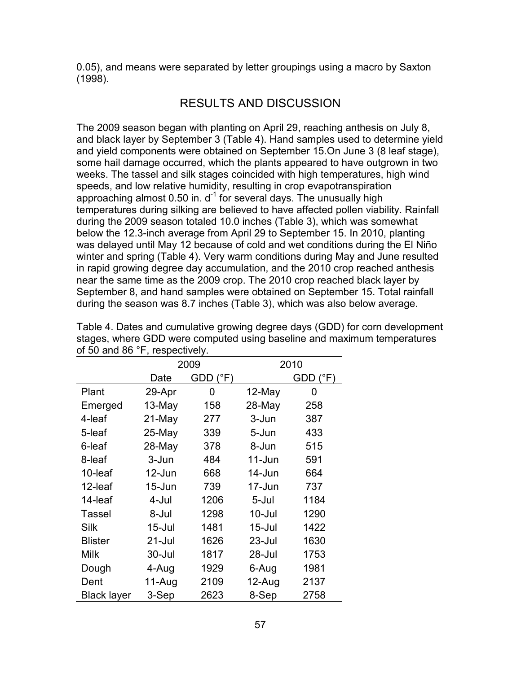0.05), and means were separated by letter groupings using a macro by Saxton (1998).

## RESULTS AND DISCUSSION

The 2009 season began with planting on April 29, reaching anthesis on July 8, and black layer by September 3 (Table 4). Hand samples used to determine yield and yield components were obtained on September 15.On June 3 (8 leaf stage), some hail damage occurred, which the plants appeared to have outgrown in two weeks. The tassel and silk stages coincided with high temperatures, high wind speeds, and low relative humidity, resulting in crop evapotranspiration approaching almost 0.50 in.  $d<sup>-1</sup>$  for several days. The unusually high temperatures during silking are believed to have affected pollen viability. Rainfall during the 2009 season totaled 10.0 inches (Table 3), which was somewhat below the 12.3-inch average from April 29 to September 15. In 2010, planting was delayed until May 12 because of cold and wet conditions during the El Niño winter and spring (Table 4). Very warm conditions during May and June resulted in rapid growing degree day accumulation, and the 2010 crop reached anthesis near the same time as the 2009 crop. The 2010 crop reached black layer by September 8, and hand samples were obtained on September 15. Total rainfall during the season was 8.7 inches (Table 3), which was also below average.

|                    |            | 2009                    | 2010       |                         |  |  |  |
|--------------------|------------|-------------------------|------------|-------------------------|--|--|--|
|                    | Date       | $GDD$ ( ${}^{\circ}$ F) |            | $GDD$ ( ${}^{\circ}$ F) |  |  |  |
| Plant              | 29-Apr     | 0                       | 12-May     | 0                       |  |  |  |
| Emerged            | 13-May     | 158                     | 28-May     | 258                     |  |  |  |
| 4-leaf             | 21-May     | 277                     | 3-Jun      | 387                     |  |  |  |
| 5-leaf             | 25-May     | 339                     | 5-Jun      | 433                     |  |  |  |
| 6-leaf             | 28-May     | 378                     | 8-Jun      | 515                     |  |  |  |
| 8-leaf             | 3-Jun      | 484                     | $11 - Jun$ | 591                     |  |  |  |
| 10-leaf            | 12-Jun     | 668                     | $14$ -Jun  | 664                     |  |  |  |
| 12-leaf            | $15 - Jun$ | 739                     | 17-Jun     | 737                     |  |  |  |
| 14-leaf            | 4-Jul      | 1206                    | 5-Jul      | 1184                    |  |  |  |
| Tassel             | 8-Jul      | 1298                    | $10 -$ Jul | 1290                    |  |  |  |
| Silk               | $15 -$ Jul | 1481                    | $15 -$ Jul | 1422                    |  |  |  |
| <b>Blister</b>     | 21-Jul     | 1626                    | $23 -$ Jul | 1630                    |  |  |  |
| <b>Milk</b>        | 30-Jul     | 1817                    | 28-Jul     | 1753                    |  |  |  |
| Dough              | 4-Aug      | 1929                    | 6-Aug      | 1981                    |  |  |  |
| Dent               | 11-Aug     | 2109                    | 12-Aug     | 2137                    |  |  |  |
| <b>Black layer</b> | 3-Sep      | 2623                    | 8-Sep      | 2758                    |  |  |  |

Table 4. Dates and cumulative growing degree days (GDD) for corn development stages, where GDD were computed using baseline and maximum temperatures of 50 and 86 °F, respectively.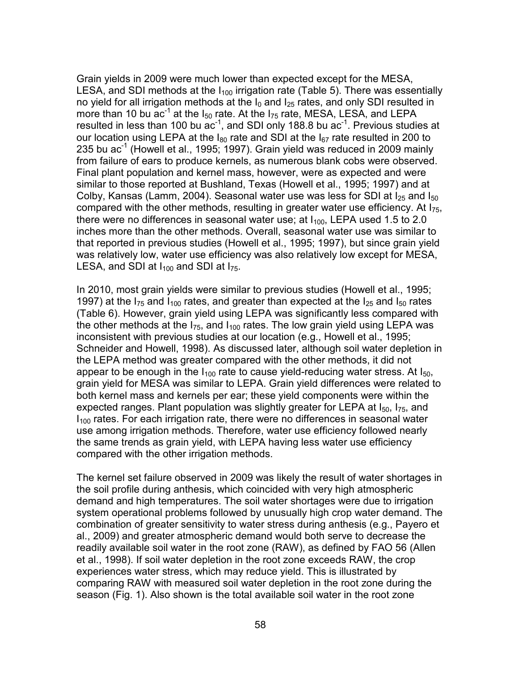Grain yields in 2009 were much lower than expected except for the MESA, LESA, and SDI methods at the  $I_{100}$  irrigation rate (Table 5). There was essentially no yield for all irrigation methods at the  $I_0$  and  $I_{25}$  rates, and only SDI resulted in more than 10 bu  $ac^{-1}$  at the  $I_{50}$  rate. At the  $I_{75}$  rate, MESA, LESA, and LEPA resulted in less than 100 bu  $ac^{-1}$ , and SDI only 188.8 bu  $ac^{-1}$ . Previous studies at our location using LEPA at the  $I_{80}$  rate and SDI at the  $I_{67}$  rate resulted in 200 to 235 bu  $ac^{-1}$  (Howell et al., 1995; 1997). Grain yield was reduced in 2009 mainly from failure of ears to produce kernels, as numerous blank cobs were observed. Final plant population and kernel mass, however, were as expected and were similar to those reported at Bushland, Texas (Howell et al., 1995; 1997) and at Colby, Kansas (Lamm, 2004). Seasonal water use was less for SDI at  $I_{25}$  and  $I_{50}$ compared with the other methods, resulting in greater water use efficiency. At  $I_{75}$ , there were no differences in seasonal water use; at  $I<sub>100</sub>$ , LEPA used 1.5 to 2.0 inches more than the other methods. Overall, seasonal water use was similar to that reported in previous studies (Howell et al., 1995; 1997), but since grain yield was relatively low, water use efficiency was also relatively low except for MESA, LESA, and SDI at  $I_{100}$  and SDI at  $I_{75}$ .

In 2010, most grain yields were similar to previous studies (Howell et al., 1995; 1997) at the  $I_{75}$  and  $I_{100}$  rates, and greater than expected at the  $I_{25}$  and  $I_{50}$  rates (Table 6). However, grain yield using LEPA was significantly less compared with the other methods at the  $I_{75}$ , and  $I_{100}$  rates. The low grain yield using LEPA was inconsistent with previous studies at our location (e.g., Howell et al., 1995; Schneider and Howell, 1998). As discussed later, although soil water depletion in the LEPA method was greater compared with the other methods, it did not appear to be enough in the  $I_{100}$  rate to cause yield-reducing water stress. At  $I_{50}$ , grain yield for MESA was similar to LEPA. Grain yield differences were related to both kernel mass and kernels per ear; these yield components were within the expected ranges. Plant population was slightly greater for LEPA at  $I_{50}$ ,  $I_{75}$ , and  $I<sub>100</sub>$  rates. For each irrigation rate, there were no differences in seasonal water use among irrigation methods. Therefore, water use efficiency followed nearly the same trends as grain yield, with LEPA having less water use efficiency compared with the other irrigation methods.

The kernel set failure observed in 2009 was likely the result of water shortages in the soil profile during anthesis, which coincided with very high atmospheric demand and high temperatures. The soil water shortages were due to irrigation system operational problems followed by unusually high crop water demand. The combination of greater sensitivity to water stress during anthesis (e.g., Payero et al., 2009) and greater atmospheric demand would both serve to decrease the readily available soil water in the root zone (RAW), as defined by FAO 56 (Allen et al., 1998). If soil water depletion in the root zone exceeds RAW, the crop experiences water stress, which may reduce yield. This is illustrated by comparing RAW with measured soil water depletion in the root zone during the season (Fig. 1). Also shown is the total available soil water in the root zone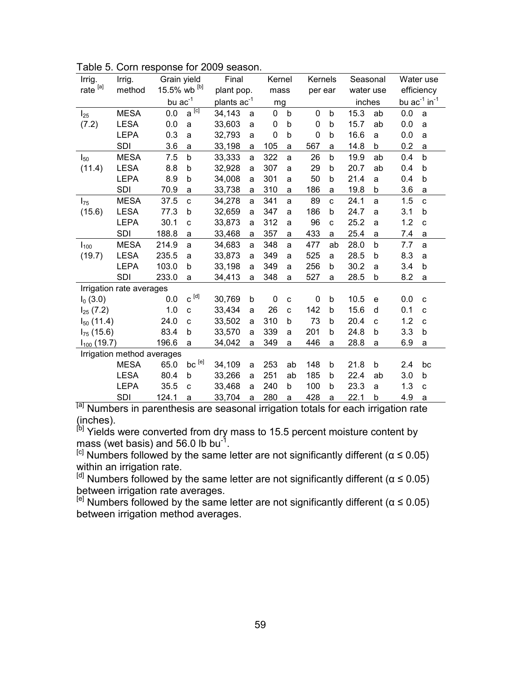| Irrig.                     | Irrig.                   | Grain yield  |                           | Final                   |            | Kernel      |              | Kernels |             | Seasonal  |    | Water use                     |              |
|----------------------------|--------------------------|--------------|---------------------------|-------------------------|------------|-------------|--------------|---------|-------------|-----------|----|-------------------------------|--------------|
| rate $^{[a]}$              | method                   | 15.5% wb [b] |                           |                         | plant pop. |             | mass         |         | per ear     | water use |    | efficiency                    |              |
|                            |                          | $bu$ $ac-1$  |                           | plants ac <sup>-1</sup> |            | mg          |              |         |             | inches    |    | bu $ac^{-1}$ in <sup>-1</sup> |              |
| $I_{25}$                   | <b>MESA</b>              | 0.0          | $a^{[\overline{c}]}$      | 34,143                  | a          | 0           | b            | 0       | b           | 15.3      | ab | 0.0                           | a            |
| (7.2)                      | <b>LESA</b>              | 0.0          | a                         | 33,603                  | a          | 0           | b            | 0       | b           | 15.7      | ab | 0.0                           | a            |
|                            | <b>LEPA</b>              | 0.3          | a                         | 32,793                  | a          | 0           | b            | 0       | b           | 16.6      | a  | 0.0                           | a            |
|                            | <b>SDI</b>               | 3.6          | a                         | 33,198                  | a          | 105         | a            | 567     | a           | 14.8      | b  | 0.2                           | a            |
| $I_{50}$                   | <b>MESA</b>              | 7.5          | b                         | 33,333                  | a          | 322         | a            | 26      | $\mathsf b$ | 19.9      | ab | 0.4                           | b            |
| (11.4)                     | <b>LESA</b>              | 8.8          | b                         | 32,928                  | a          | 307         | a            | 29      | b           | 20.7      | ab | 0.4                           | b            |
|                            | <b>LEPA</b>              | 8.9          | b                         | 34,008                  | a          | 301         | a            | 50      | b           | 21.4      | a  | 0.4                           | b            |
|                            | <b>SDI</b>               | 70.9         | a                         | 33,738                  | a          | 310         | a            | 186     | a           | 19.8      | b  | 3.6                           | a            |
| $I_{75}$                   | <b>MESA</b>              | 37.5         | $\mathbf{C}$              | 34,278                  | a          | 341         | a            | 89      | $\mathbf c$ | 24.1      | a  | 1.5                           | $\mathbf{C}$ |
| (15.6)                     | <b>LESA</b>              | 77.3         | b                         | 32,659                  | a          | 347         | a            | 186     | b           | 24.7      | a  | 3.1                           | b            |
|                            | <b>LEPA</b>              | 30.1         | C                         | 33,873                  | a          | 312         | a            | 96      | C           | 25.2      | a  | 1.2                           | C            |
|                            | SDI                      | 188.8        | a                         | 33,468                  | a          | 357         | a            | 433     | a           | 25.4      | a  | 7.4                           | a            |
| $I_{100}$                  | <b>MESA</b>              | 214.9        | a                         | 34,683                  | a          | 348         | a            | 477     | ab          | 28.0      | b  | 7.7                           | a            |
| (19.7)                     | <b>LESA</b>              | 235.5        | a                         | 33,873                  | a          | 349         | a            | 525     | a           | 28.5      | b  | 8.3                           | a            |
|                            | <b>LEPA</b>              | 103.0        | b                         | 33,198                  | a          | 349         | a            | 256     | b           | 30.2      | a  | 3.4                           | b            |
|                            | SDI                      | 233.0        | a                         | 34,413                  | a          | 348         | a            | 527     | a           | 28.5      | b  | 8.2                           | a            |
|                            | Irrigation rate averages |              |                           |                         |            |             |              |         |             |           |    |                               |              |
| $I_0(3.0)$                 |                          | 0.0          | $\textbf{C}^{\text{[d]}}$ | 30,769                  | b          | $\mathbf 0$ | C            | 0       | b           | 10.5      | e  | 0.0                           | C            |
| $I_{25}$ (7.2)             |                          | 1.0          | $\mathbf{C}$              | 33,434                  | a          | 26          | $\mathbf{C}$ | 142     | b           | 15.6      | d  | 0.1                           | $\mathbf c$  |
| $I_{50}$ (11.4)            |                          | 24.0         | $\mathbf{C}$              | 33,502                  | a          | 310         | b            | 73      | b           | 20.4      | C  | 1.2                           | C            |
| $I_{75}$ (15.6)            |                          | 83.4         | b                         | 33,570                  | a          | 339         | a            | 201     | b           | 24.8      | b  | 3.3                           | b            |
| $I_{100}$ (19.7)           |                          | 196.6        | a                         | 34,042                  | a          | 349         | a            | 446     | a           | 28.8      | a  | 6.9                           | a            |
| Irrigation method averages |                          |              |                           |                         |            |             |              |         |             |           |    |                               |              |
|                            | <b>MESA</b>              | 65.0         | bc <sup>[e]</sup>         | 34,109                  | a          | 253         | ab           | 148     | b           | 21.8      | b  | 2.4                           | bc           |
|                            | <b>LESA</b>              | 80.4         | b                         | 33,266                  | a          | 251         | ab           | 185     | b           | 22.4      | ab | 3.0                           | b            |
|                            | <b>LEPA</b>              | 35.5         | C                         | 33,468                  | a          | 240         | b            | 100     | b           | 23.3      | a  | 1.3                           | C            |
|                            | SDI                      | 124.1        | a                         | 33,704                  | a          | 280         | a            | 428     | a           | 22.1      | b  | 4.9                           | a            |

Table 5. Corn response for 2009 season.

<sup>[a]</sup> Numbers in parenthesis are seasonal irrigation totals for each irrigation rate (inches).

<sup>[b]</sup> Yields were converted from dry mass to 15.5 percent moisture content by mass (wet basis) and 56.0 lb bu<sup>-1</sup>.

<sup>[c]</sup> Numbers followed by the same letter are not significantly different ( $\alpha \le 0.05$ ) within an irrigation rate.

 $[<sup>d]</sup>$  Numbers followed by the same letter are not significantly different (α ≤ 0.05) between irrigation rate averages.

 $[<sup>e</sup>]$  Numbers followed by the same letter are not significantly different (α  $\leq$  0.05) between irrigation method averages.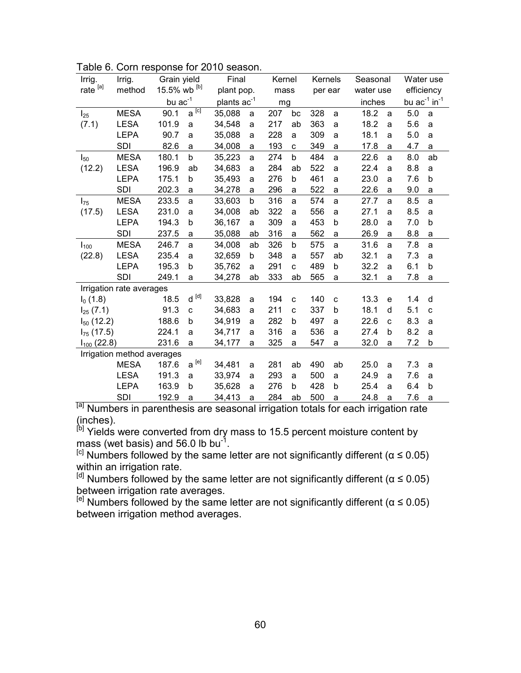| Irrig.                     | Irrig.                   | Grain yield  |                                                                | Final                   |             | Kernel |              | Kernels |              | Seasonal  |   | Water use                     |    |
|----------------------------|--------------------------|--------------|----------------------------------------------------------------|-------------------------|-------------|--------|--------------|---------|--------------|-----------|---|-------------------------------|----|
| rate $^{[a]}$              | method                   | 15.5% wb [b] |                                                                | plant pop.              |             | mass   |              | per ear |              | water use |   | efficiency                    |    |
|                            |                          | bu $ac^{-1}$ |                                                                | plants ac <sup>-1</sup> |             | mq     |              |         |              | inches    |   | bu $ac^{-1}$ in <sup>-1</sup> |    |
| $I_{25}$                   | <b>MESA</b>              | 90.1         | $a^{[\overline{c}]}$                                           | 35,088                  | a           | 207    | bc           | 328     | a            | 18.2      | a | 5.0                           | a  |
| (7.1)                      | <b>LESA</b>              | 101.9        | a                                                              | 34,548                  | a           | 217    | ab           | 363     | a            | 18.2      | a | 5.6                           | a  |
|                            | <b>LEPA</b>              | 90.7         | a                                                              | 35,088                  | a           | 228    | a            | 309     | a            | 18.1      | a | 5.0                           | a  |
|                            | SDI                      | 82.6         | a                                                              | 34,008                  | a           | 193    | $\mathbf{C}$ | 349     | a            | 17.8      | a | 4.7                           | a  |
| $I_{50}$                   | <b>MESA</b>              | 180.1        | b                                                              | 35,223                  | a           | 274    | b            | 484     | a            | 22.6      | a | 8.0                           | ab |
| (12.2)                     | <b>LESA</b>              | 196.9        | ab                                                             | 34,683                  | a           | 284    | ab           | 522     | a            | 22.4      | a | 8.8                           | a  |
|                            | <b>LEPA</b>              | 175.1        | b                                                              | 35,493                  | a           | 276    | b            | 461     | a            | 23.0      | a | 7.6                           | b  |
|                            | <b>SDI</b>               | 202.3        | a                                                              | 34,278                  | a           | 296    | a            | 522     | a            | 22.6      | a | 9.0                           | a  |
| $I_{75}$                   | <b>MESA</b>              | 233.5        | a                                                              | 33,603                  | b           | 316    | a            | 574     | a            | 27.7      | a | 8.5                           | a  |
| (17.5)                     | <b>LESA</b>              | 231.0        | a                                                              | 34,008                  | ab          | 322    | a            | 556     | a            | 27.1      | a | 8.5                           | a  |
|                            | <b>LEPA</b>              | 194.3        | b                                                              | 36,167                  | a           | 309    | a            | 453     | b            | 28.0      | a | 7.0                           | b  |
|                            | <b>SDI</b>               | 237.5        | a                                                              | 35,088                  | ab          | 316    | a            | 562     | a            | 26.9      | a | 8.8                           | a  |
| $I_{100}$                  | <b>MESA</b>              | 246.7        | a                                                              | 34,008                  | ab          | 326    | b            | 575     | a            | 31.6      | a | 7.8                           | a  |
| (22.8)                     | <b>LESA</b>              | 235.4        | a                                                              | 32,659                  | $\mathbf b$ | 348    | a            | 557     | ab           | 32.1      | a | 7.3                           | a  |
|                            | <b>LEPA</b>              | 195.3        | b                                                              | 35,762                  | a           | 291    | $\mathbf{C}$ | 489     | b            | 32.2      | a | 6.1                           | b  |
|                            | <b>SDI</b>               | 249.1        | a                                                              | 34,278                  | ab          | 333    | ab           | 565     | a            | 32.1      | a | 7.8                           | a  |
|                            | Irrigation rate averages |              |                                                                |                         |             |        |              |         |              |           |   |                               |    |
| $I_0(1.8)$                 |                          | 18.5         | $\operatorname{\mathsf{d}}$ ${}^{[\operatorname{\mathsf{d}}]}$ | 33,828                  | a           | 194    | $\mathbf{C}$ | 140     | $\mathbf{C}$ | 13.3      | e | 1.4                           | d  |
| $I_{25}$ (7.1)             |                          | 91.3         | C                                                              | 34,683                  | a           | 211    | $\mathbf{C}$ | 337     | b            | 18.1      | d | 5.1                           | C  |
| $I_{50}$ (12.2)            |                          | 188.6        | b                                                              | 34,919                  | a           | 282    | b            | 497     | a            | 22.6      | C | 8.3                           | a  |
| $I_{75}$ (17.5)            |                          | 224.1        | a                                                              | 34,717                  | a           | 316    | a            | 536     | a            | 27.4      | b | 8.2                           | a  |
| $I_{100}$ (22.8)           |                          | 231.6        | a                                                              | 34,177                  | a           | 325    | a            | 547     | a            | 32.0      | a | 7.2                           | b  |
| Irrigation method averages |                          |              |                                                                |                         |             |        |              |         |              |           |   |                               |    |
|                            | <b>MESA</b>              | 187.6        | $\mathsf{a}^{[\mathrm{e}]}$                                    | 34,481                  | a           | 281    | ab           | 490     | ab           | 25.0      | a | 7.3                           | a  |
|                            | <b>LESA</b>              | 191.3        | a                                                              | 33,974                  | a           | 293    | a            | 500     | a            | 24.9      | a | 7.6                           | a  |
|                            | <b>LEPA</b>              | 163.9        | b                                                              | 35,628                  | a           | 276    | b            | 428     | b            | 25.4      | a | 6.4                           | b  |
|                            | SDI                      | 192.9        | a                                                              | 34,413                  | a           | 284    | ab           | 500     | a            | 24.8      | a | 7.6                           | a  |

Table 6. Corn response for 2010 season.

<sup>[a]</sup> Numbers in parenthesis are seasonal irrigation totals for each irrigation rate (inches).

<sup>[b]</sup> Yields were converted from dry mass to 15.5 percent moisture content by mass (wet basis) and 56.0 lb bu<sup>-1</sup>.

<sup>[c]</sup> Numbers followed by the same letter are not significantly different ( $\alpha \le 0.05$ ) within an irrigation rate.

 $[<sup>d]</sup>$  Numbers followed by the same letter are not significantly different (α ≤ 0.05) between irrigation rate averages.

 $[<sup>e</sup>]$  Numbers followed by the same letter are not significantly different (α  $\leq$  0.05) between irrigation method averages.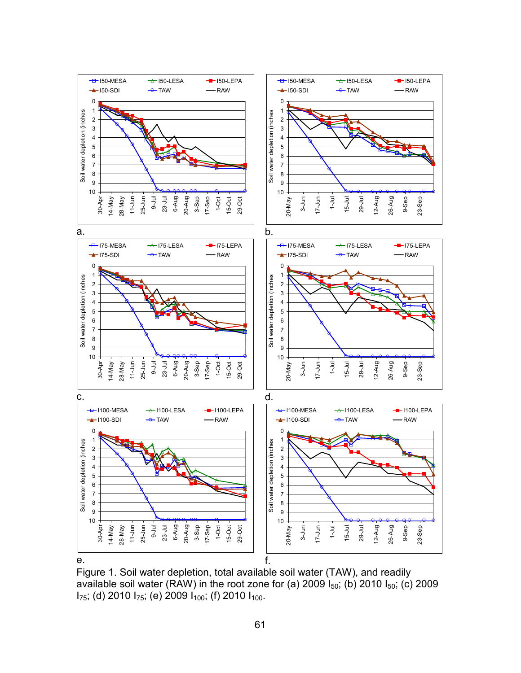

Figure 1. Soil water depletion, total available soil water (TAW), and readily available soil water (RAW) in the root zone for (a) 2009  $I_{50}$ ; (b) 2010  $I_{50}$ ; (c) 2009  $I_{75}$ ; (d) 2010  $I_{75}$ ; (e) 2009  $I_{100}$ ; (f) 2010  $I_{100}$ .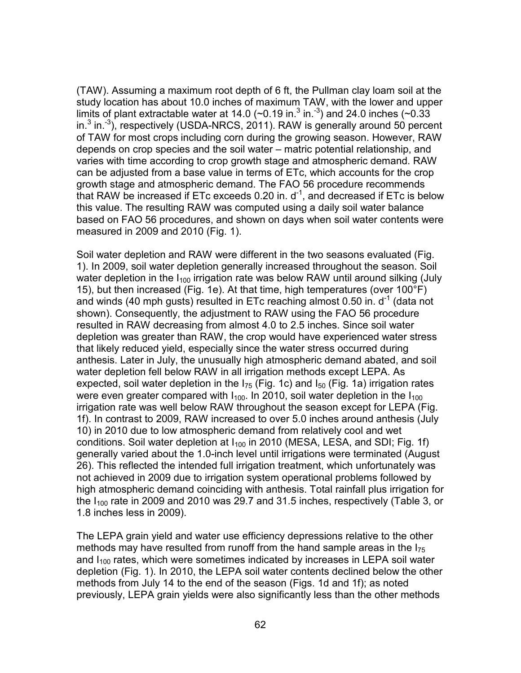(TAW). Assuming a maximum root depth of 6 ft, the Pullman clay loam soil at the study location has about 10.0 inches of maximum TAW, with the lower and upper limits of plant extractable water at 14.0 ( $\sim$ 0.19 in.<sup>3</sup> in.<sup>-3</sup>) and 24.0 inches ( $\sim$ 0.33 in. $3$  in. $3$ ), respectively (USDA-NRCS, 2011). RAW is generally around 50 percent of TAW for most crops including corn during the growing season. However, RAW depends on crop species and the soil water – matric potential relationship, and varies with time according to crop growth stage and atmospheric demand. RAW can be adjusted from a base value in terms of ETc, which accounts for the crop growth stage and atmospheric demand. The FAO 56 procedure recommends that RAW be increased if ETc exceeds 0.20 in.  $d^{-1}$ , and decreased if ETc is below this value. The resulting RAW was computed using a daily soil water balance based on FAO 56 procedures, and shown on days when soil water contents were measured in 2009 and 2010 (Fig. 1).

Soil water depletion and RAW were different in the two seasons evaluated (Fig. 1). In 2009, soil water depletion generally increased throughout the season. Soil water depletion in the  $I_{100}$  irrigation rate was below RAW until around silking (July 15), but then increased (Fig. 1e). At that time, high temperatures (over 100°F) and winds (40 mph gusts) resulted in ETc reaching almost 0.50 in.  $d^{-1}$  (data not shown). Consequently, the adjustment to RAW using the FAO 56 procedure resulted in RAW decreasing from almost 4.0 to 2.5 inches. Since soil water depletion was greater than RAW, the crop would have experienced water stress that likely reduced yield, especially since the water stress occurred during anthesis. Later in July, the unusually high atmospheric demand abated, and soil water depletion fell below RAW in all irrigation methods except LEPA. As expected, soil water depletion in the  $I_{75}$  (Fig. 1c) and  $I_{50}$  (Fig. 1a) irrigation rates were even greater compared with  $I_{100}$ . In 2010, soil water depletion in the  $I_{100}$ irrigation rate was well below RAW throughout the season except for LEPA (Fig. 1f). In contrast to 2009, RAW increased to over 5.0 inches around anthesis (July 10) in 2010 due to low atmospheric demand from relatively cool and wet conditions. Soil water depletion at  $I_{100}$  in 2010 (MESA, LESA, and SDI; Fig. 1f) generally varied about the 1.0-inch level until irrigations were terminated (August 26). This reflected the intended full irrigation treatment, which unfortunately was not achieved in 2009 due to irrigation system operational problems followed by high atmospheric demand coinciding with anthesis. Total rainfall plus irrigation for the  $I_{100}$  rate in 2009 and 2010 was 29.7 and 31.5 inches, respectively (Table 3, or 1.8 inches less in 2009).

The LEPA grain yield and water use efficiency depressions relative to the other methods may have resulted from runoff from the hand sample areas in the  $I_{75}$ and  $I_{100}$  rates, which were sometimes indicated by increases in LEPA soil water depletion (Fig. 1). In 2010, the LEPA soil water contents declined below the other methods from July 14 to the end of the season (Figs. 1d and 1f); as noted previously, LEPA grain yields were also significantly less than the other methods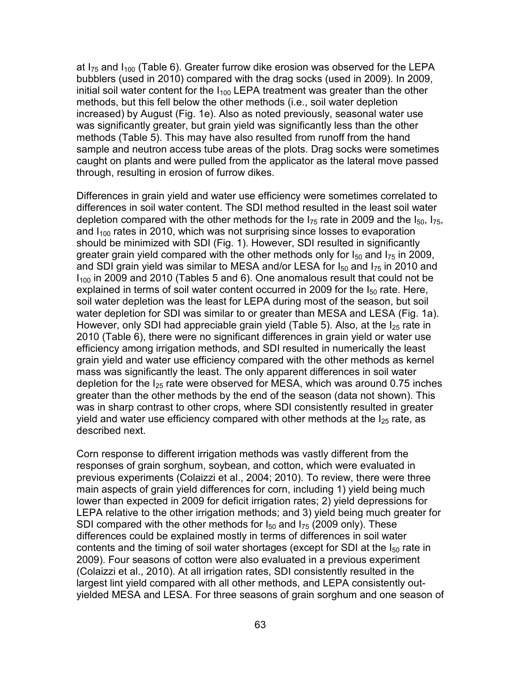at  $I_{75}$  and  $I_{100}$  (Table 6). Greater furrow dike erosion was observed for the LEPA bubblers (used in 2010) compared with the drag socks (used in 2009). In 2009, initial soil water content for the  $I_{100}$  LEPA treatment was greater than the other methods, but this fell below the other methods (i.e., soil water depletion increased) by August (Fig. 1e). Also as noted previously, seasonal water use was significantly greater, but grain yield was significantly less than the other methods (Table 5). This may have also resulted from runoff from the hand sample and neutron access tube areas of the plots. Drag socks were sometimes caught on plants and were pulled from the applicator as the lateral move passed through, resulting in erosion of furrow dikes.

Differences in grain yield and water use efficiency were sometimes correlated to differences in soil water content. The SDI method resulted in the least soil water depletion compared with the other methods for the  $I_{75}$  rate in 2009 and the  $I_{50}$ ,  $I_{75}$ , and  $I_{100}$  rates in 2010, which was not surprising since losses to evaporation should be minimized with SDI (Fig. 1). However, SDI resulted in significantly greater grain yield compared with the other methods only for  $I_{50}$  and  $I_{75}$  in 2009, and SDI grain yield was similar to MESA and/or LESA for  $I_{50}$  and  $I_{75}$  in 2010 and  $I<sub>100</sub>$  in 2009 and 2010 (Tables 5 and 6). One anomalous result that could not be explained in terms of soil water content occurred in 2009 for the  $I_{50}$  rate. Here, soil water depletion was the least for LEPA during most of the season, but soil water depletion for SDI was similar to or greater than MESA and LESA (Fig. 1a). However, only SDI had appreciable grain yield (Table 5). Also, at the  $I_{25}$  rate in 2010 (Table 6), there were no significant differences in grain yield or water use efficiency among irrigation methods, and SDI resulted in numerically the least grain yield and water use efficiency compared with the other methods as kernel mass was significantly the least. The only apparent differences in soil water depletion for the  $I_{25}$  rate were observed for MESA, which was around 0.75 inches greater than the other methods by the end of the season (data not shown). This was in sharp contrast to other crops, where SDI consistently resulted in greater yield and water use efficiency compared with other methods at the  $I_{25}$  rate, as described next.

Corn response to different irrigation methods was vastly different from the responses of grain sorghum, soybean, and cotton, which were evaluated in previous experiments (Colaizzi et al., 2004; 2010). To review, there were three main aspects of grain yield differences for corn, including 1) yield being much lower than expected in 2009 for deficit irrigation rates; 2) yield depressions for LEPA relative to the other irrigation methods; and 3) yield being much greater for SDI compared with the other methods for  $I_{50}$  and  $I_{75}$  (2009 only). These differences could be explained mostly in terms of differences in soil water contents and the timing of soil water shortages (except for SDI at the  $I_{50}$  rate in 2009). Four seasons of cotton were also evaluated in a previous experiment (Colaizzi et al., 2010). At all irrigation rates, SDI consistently resulted in the largest lint yield compared with all other methods, and LEPA consistently outyielded MESA and LESA. For three seasons of grain sorghum and one season of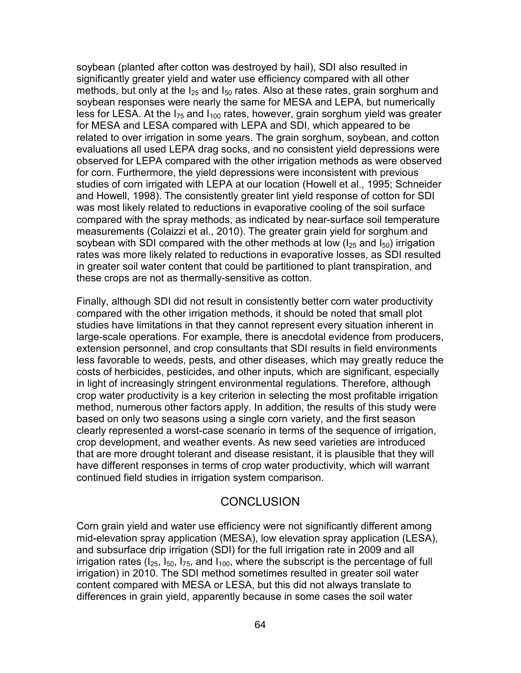soybean (planted after cotton was destroyed by hail), SDI also resulted in significantly greater yield and water use efficiency compared with all other methods, but only at the  $I_{25}$  and  $I_{50}$  rates. Also at these rates, grain sorghum and soybean responses were nearly the same for MESA and LEPA, but numerically less for LESA. At the  $I_{75}$  and  $I_{100}$  rates, however, grain sorghum yield was greater for MESA and LESA compared with LEPA and SDI, which appeared to be related to over irrigation in some years. The grain sorghum, soybean, and cotton evaluations all used LEPA drag socks, and no consistent yield depressions were observed for LEPA compared with the other irrigation methods as were observed for corn. Furthermore, the yield depressions were inconsistent with previous studies of corn irrigated with LEPA at our location (Howell et al., 1995; Schneider and Howell, 1998). The consistently greater lint yield response of cotton for SDI was most likely related to reductions in evaporative cooling of the soil surface compared with the spray methods, as indicated by near-surface soil temperature measurements (Colaizzi et al., 2010). The greater grain yield for sorghum and soybean with SDI compared with the other methods at low  $(I_{25}$  and  $I_{50})$  irrigation rates was more likely related to reductions in evaporative losses, as SDI resulted in greater soil water content that could be partitioned to plant transpiration, and these crops are not as thermally-sensitive as cotton.

Finally, although SDI did not result in consistently better corn water productivity compared with the other irrigation methods, it should be noted that small plot studies have limitations in that they cannot represent every situation inherent in large-scale operations. For example, there is anecdotal evidence from producers, extension personnel, and crop consultants that SDI results in field environments less favorable to weeds, pests, and other diseases, which may greatly reduce the costs of herbicides, pesticides, and other inputs, which are significant, especially in light of increasingly stringent environmental regulations. Therefore, although crop water productivity is a key criterion in selecting the most profitable irrigation method, numerous other factors apply. In addition, the results of this study were based on only two seasons using a single corn variety, and the first season clearly represented a worst-case scenario in terms of the sequence of irrigation, crop development, and weather events. As new seed varieties are introduced that are more drought tolerant and disease resistant, it is plausible that they will have different responses in terms of crop water productivity, which will warrant continued field studies in irrigation system comparison.

### **CONCLUSION**

Corn grain yield and water use efficiency were not significantly different among mid-elevation spray application (MESA), low elevation spray application (LESA), and subsurface drip irrigation (SDI) for the full irrigation rate in 2009 and all irrigation rates ( $I_{25}$ ,  $I_{50}$ ,  $I_{75}$ , and  $I_{100}$ , where the subscript is the percentage of full irrigation) in 2010. The SDI method sometimes resulted in greater soil water content compared with MESA or LESA, but this did not always translate to differences in grain yield, apparently because in some cases the soil water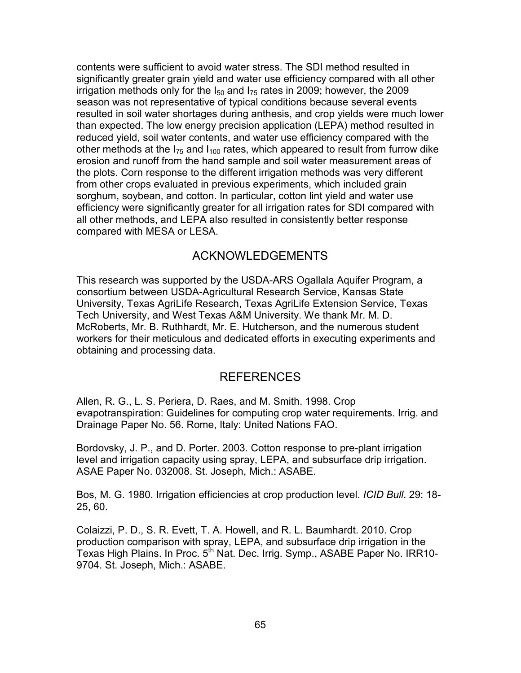contents were sufficient to avoid water stress. The SDI method resulted in significantly greater grain yield and water use efficiency compared with all other irrigation methods only for the  $I_{50}$  and  $I_{75}$  rates in 2009; however, the 2009 season was not representative of typical conditions because several events resulted in soil water shortages during anthesis, and crop yields were much lower than expected. The low energy precision application (LEPA) method resulted in reduced yield, soil water contents, and water use efficiency compared with the other methods at the  $I_{75}$  and  $I_{100}$  rates, which appeared to result from furrow dike erosion and runoff from the hand sample and soil water measurement areas of the plots. Corn response to the different irrigation methods was very different from other crops evaluated in previous experiments, which included grain sorghum, soybean, and cotton. In particular, cotton lint yield and water use efficiency were significantly greater for all irrigation rates for SDI compared with all other methods, and LEPA also resulted in consistently better response compared with MESA or LESA.

### ACKNOWLEDGEMENTS

This research was supported by the USDA-ARS Ogallala Aquifer Program, a consortium between USDA-Agricultural Research Service, Kansas State University, Texas AgriLife Research, Texas AgriLife Extension Service, Texas Tech University, and West Texas A&M University. We thank Mr. M. D. McRoberts, Mr. B. Ruthhardt, Mr. E. Hutcherson, and the numerous student workers for their meticulous and dedicated efforts in executing experiments and obtaining and processing data.

### REFERENCES

Allen, R. G., L. S. Periera, D. Raes, and M. Smith. 1998. Crop evapotranspiration: Guidelines for computing crop water requirements. Irrig. and Drainage Paper No. 56. Rome, Italy: United Nations FAO.

Bordovsky, J. P., and D. Porter. 2003. Cotton response to pre-plant irrigation level and irrigation capacity using spray, LEPA, and subsurface drip irrigation. ASAE Paper No. 032008. St. Joseph, Mich.: ASABE.

Bos, M. G. 1980. Irrigation efficiencies at crop production level. *ICID Bull*. 29: 18- 25, 60.

Colaizzi, P. D., S. R. Evett, T. A. Howell, and R. L. Baumhardt. 2010. Crop production comparison with spray, LEPA, and subsurface drip irrigation in the Texas High Plains. In Proc. 5<sup>th</sup> Nat. Dec. Irrig. Symp., ASABE Paper No. IRR10-9704. St. Joseph, Mich.: ASABE.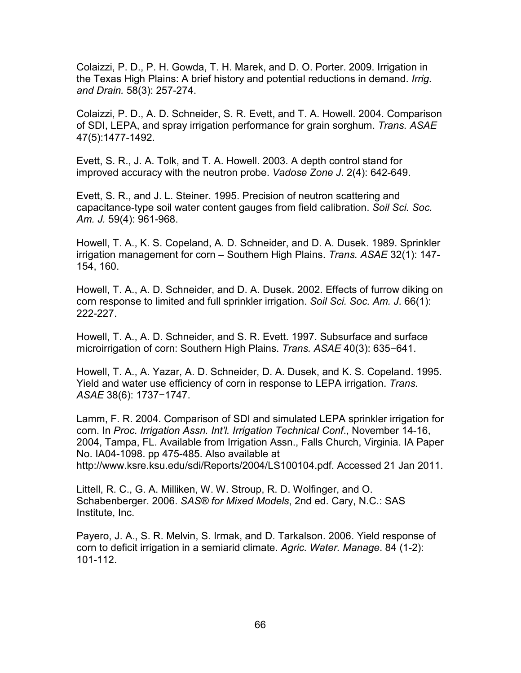Colaizzi, P. D., P. H. Gowda, T. H. Marek, and D. O. Porter. 2009. Irrigation in the Texas High Plains: A brief history and potential reductions in demand. *Irrig. and Drain.* 58(3): 257-274.

Colaizzi, P. D., A. D. Schneider, S. R. Evett, and T. A. Howell. 2004. Comparison of SDI, LEPA, and spray irrigation performance for grain sorghum. *Trans. ASAE* 47(5):1477-1492.

Evett, S. R., J. A. Tolk, and T. A. Howell. 2003. A depth control stand for improved accuracy with the neutron probe. *Vadose Zone J*. 2(4): 642-649.

Evett, S. R., and J. L. Steiner. 1995. Precision of neutron scattering and capacitance-type soil water content gauges from field calibration. *Soil Sci. Soc. Am. J.* 59(4): 961-968.

Howell, T. A., K. S. Copeland, A. D. Schneider, and D. A. Dusek. 1989. Sprinkler irrigation management for corn – Southern High Plains. *Trans. ASAE* 32(1): 147- 154, 160.

Howell, T. A., A. D. Schneider, and D. A. Dusek. 2002. Effects of furrow diking on corn response to limited and full sprinkler irrigation. *Soil Sci. Soc. Am. J*. 66(1): 222-227.

Howell, T. A., A. D. Schneider, and S. R. Evett. 1997. Subsurface and surface microirrigation of corn: Southern High Plains. *Trans. ASAE* 40(3): 635−641.

Howell, T. A., A. Yazar, A. D. Schneider, D. A. Dusek, and K. S. Copeland. 1995. Yield and water use efficiency of corn in response to LEPA irrigation. *Trans. ASAE* 38(6): 1737−1747.

Lamm, F. R. 2004. Comparison of SDI and simulated LEPA sprinkler irrigation for corn. In *Proc. Irrigation Assn. Int'l. Irrigation Technical Conf*., November 14-16, 2004, Tampa, FL. Available from Irrigation Assn., Falls Church, Virginia. IA Paper No. IA04-1098. pp 475-485. Also available at http://www.ksre.ksu.edu/sdi/Reports/2004/LS100104.pdf. Accessed 21 Jan 2011.

Littell, R. C., G. A. Milliken, W. W. Stroup, R. D. Wolfinger, and O. Schabenberger. 2006. *SAS® for Mixed Models*, 2nd ed. Cary, N.C.: SAS Institute, Inc.

Payero, J. A., S. R. Melvin, S. Irmak, and D. Tarkalson. 2006. Yield response of corn to deficit irrigation in a semiarid climate. *Agric. Water. Manage*. 84 (1-2): 101-112.